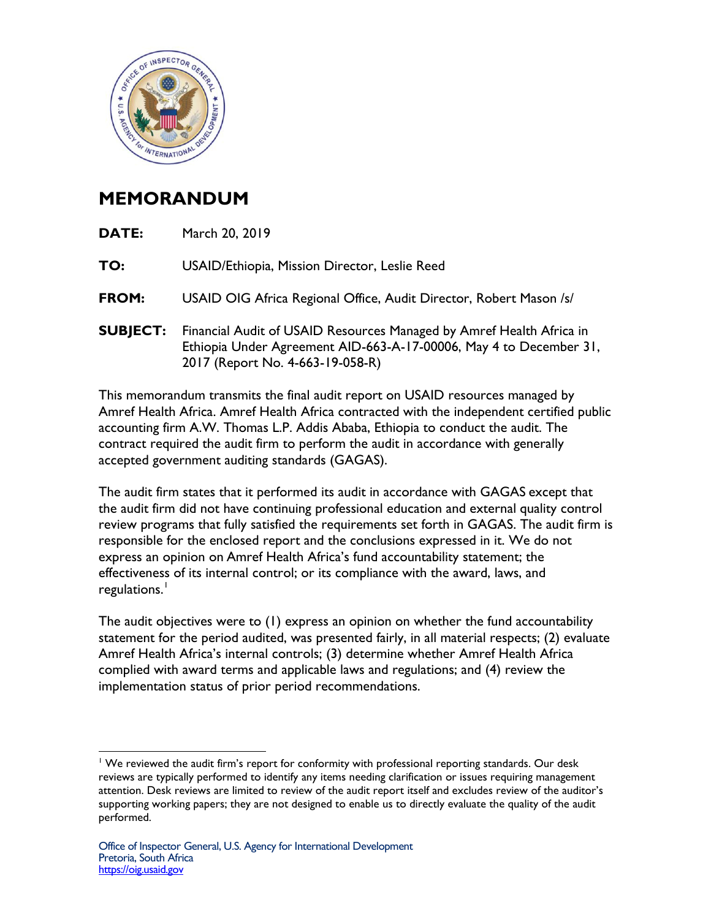

## **MEMORANDUM**

| <b>DATE:</b>    | March 20, 2019                                                                                                                                                                 |
|-----------------|--------------------------------------------------------------------------------------------------------------------------------------------------------------------------------|
| TO:             | USAID/Ethiopia, Mission Director, Leslie Reed                                                                                                                                  |
| FROM:           | USAID OIG Africa Regional Office, Audit Director, Robert Mason /s/                                                                                                             |
| <b>SUBJECT:</b> | Financial Audit of USAID Resources Managed by Amref Health Africa in<br>Ethiopia Under Agreement AID-663-A-17-00006, May 4 to December 31,<br>2017 (Report No. 4-663-19-058-R) |
|                 | This accumum dans there in the the Challen director and and ICAID accounted accumum dilate                                                                                     |

This memorandum transmits the final audit report on USAID resources managed by Amref Health Africa. Amref Health Africa contracted with the independent certified public accounting firm A.W. Thomas L.P. Addis Ababa, Ethiopia to conduct the audit. The contract required the audit firm to perform the audit in accordance with generally accepted government auditing standards (GAGAS).

The audit firm states that it performed its audit in accordance with GAGAS except that the audit firm did not have continuing professional education and external quality control review programs that fully satisfied the requirements set forth in GAGAS. The audit firm is responsible for the enclosed report and the conclusions expressed in it. We do not express an opinion on Amref Health Africa's fund accountability statement; the effectiveness of its internal control; or its compliance with the award, laws, and regulations.<sup>[1](#page-0-0)</sup>

The audit objectives were to (1) express an opinion on whether the fund accountability statement for the period audited, was presented fairly, in all material respects; (2) evaluate Amref Health Africa's internal controls; (3) determine whether Amref Health Africa complied with award terms and applicable laws and regulations; and (4) review the implementation status of prior period recommendations.

<span id="page-0-0"></span> $\overline{a}$ <sup>1</sup> We reviewed the audit firm's report for conformity with professional reporting standards. Our desk reviews are typically performed to identify any items needing clarification or issues requiring management attention. Desk reviews are limited to review of the audit report itself and excludes review of the auditor's supporting working papers; they are not designed to enable us to directly evaluate the quality of the audit performed.